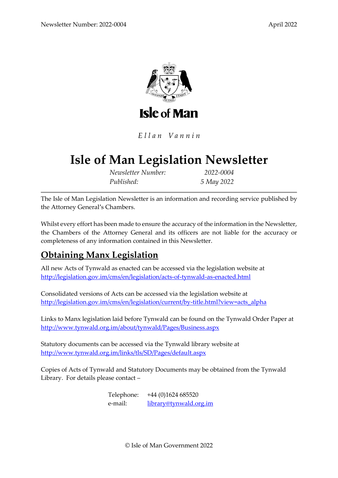

Ellan Vannin

# **Isle of Man Legislation Newsletter**

*Newsletter Number: 2022-0004 Published: 5 May 2022*

The Isle of Man Legislation Newsletter is an information and recording service published by the Attorney General's Chambers.

Whilst every effort has been made to ensure the accuracy of the information in the Newsletter, the Chambers of the Attorney General and its officers are not liable for the accuracy or completeness of any information contained in this Newsletter.

### **Obtaining Manx Legislation**

All new Acts of Tynwald as enacted can be accessed via the legislation website at <http://legislation.gov.im/cms/en/legislation/acts-of-tynwald-as-enacted.html>

Consolidated versions of Acts can be accessed via the legislation website at [http://legislation.gov.im/cms/en/legislation/current/by-title.html?view=acts\\_alpha](http://legislation.gov.im/cms/en/legislation/current/by-title.html?view=acts_alpha)

Links to Manx legislation laid before Tynwald can be found on the Tynwald Order Paper at <http://www.tynwald.org.im/about/tynwald/Pages/Business.aspx>

Statutory documents can be accessed via the Tynwald library website at <http://www.tynwald.org.im/links/tls/SD/Pages/default.aspx>

Copies of Acts of Tynwald and Statutory Documents may be obtained from the Tynwald Library. For details please contact –

> Telephone: +44 (0)1624 685520 e-mail: [library@tynwald.org.im](mailto:library@tynwald.org.im)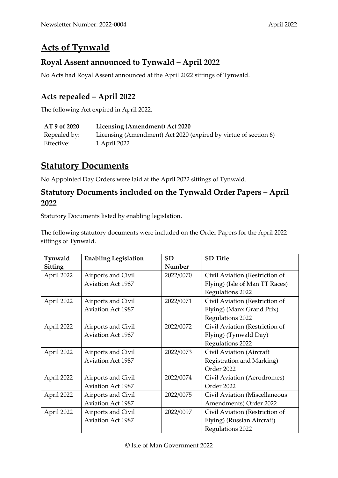## **Acts of Tynwald**

#### **Royal Assent announced to Tynwald – April 2022**

No Acts had Royal Assent announced at the April 2022 sittings of Tynwald.

#### **Acts repealed – April 2022**

The following Act expired in April 2022.

| AT 9 of 2020 | Licensing (Amendment) Act 2020                                  |
|--------------|-----------------------------------------------------------------|
| Repealed by: | Licensing (Amendment) Act 2020 (expired by virtue of section 6) |
| Effective:   | 1 April 2022                                                    |

### **Statutory Documents**

No Appointed Day Orders were laid at the April 2022 sittings of Tynwald.

#### **Statutory Documents included on the Tynwald Order Papers – April 2022**

Statutory Documents listed by enabling legislation.

The following statutory documents were included on the Order Papers for the April 2022 sittings of Tynwald.

| Tynwald    | <b>Enabling Legislation</b> | <b>SD</b> | <b>SD</b> Title                |
|------------|-----------------------------|-----------|--------------------------------|
| Sitting    |                             | Number    |                                |
| April 2022 | Airports and Civil          | 2022/0070 | Civil Aviation (Restriction of |
|            | <b>Aviation Act 1987</b>    |           | Flying) (Isle of Man TT Races) |
|            |                             |           | Regulations 2022               |
| April 2022 | Airports and Civil          | 2022/0071 | Civil Aviation (Restriction of |
|            | <b>Aviation Act 1987</b>    |           | Flying) (Manx Grand Prix)      |
|            |                             |           | Regulations 2022               |
| April 2022 | Airports and Civil          | 2022/0072 | Civil Aviation (Restriction of |
|            | <b>Aviation Act 1987</b>    |           | Flying) (Tynwald Day)          |
|            |                             |           | Regulations 2022               |
| April 2022 | Airports and Civil          | 2022/0073 | Civil Aviation (Aircraft       |
|            | <b>Aviation Act 1987</b>    |           | Registration and Marking)      |
|            |                             |           | Order 2022                     |
| April 2022 | Airports and Civil          | 2022/0074 | Civil Aviation (Aerodromes)    |
|            | <b>Aviation Act 1987</b>    |           | Order 2022                     |
| April 2022 | Airports and Civil          | 2022/0075 | Civil Aviation (Miscellaneous  |
|            | <b>Aviation Act 1987</b>    |           | Amendments) Order 2022         |
| April 2022 | Airports and Civil          | 2022/0097 | Civil Aviation (Restriction of |
|            | <b>Aviation Act 1987</b>    |           | Flying) (Russian Aircraft)     |
|            |                             |           | Regulations 2022               |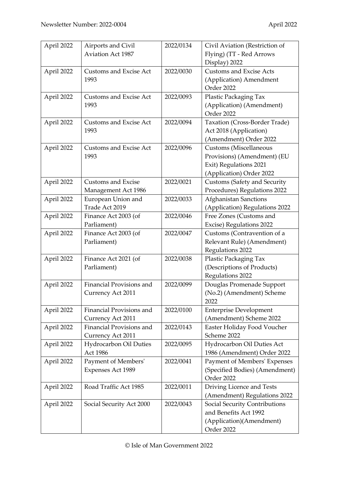| April 2022 | Airports and Civil              | 2022/0134 | Civil Aviation (Restriction of                                  |
|------------|---------------------------------|-----------|-----------------------------------------------------------------|
|            | <b>Aviation Act 1987</b>        |           | Flying) (TT - Red Arrows                                        |
|            |                                 |           | Display) 2022                                                   |
| April 2022 | Customs and Excise Act          | 2022/0030 | <b>Customs and Excise Acts</b>                                  |
|            | 1993                            |           | (Application) Amendment                                         |
|            |                                 |           | Order 2022                                                      |
| April 2022 | Customs and Excise Act          | 2022/0093 | Plastic Packaging Tax                                           |
|            | 1993                            |           | (Application) (Amendment)                                       |
|            |                                 |           | Order 2022                                                      |
| April 2022 | <b>Customs and Excise Act</b>   | 2022/0094 | Taxation (Cross-Border Trade)                                   |
|            | 1993                            |           | Act 2018 (Application)                                          |
|            |                                 |           | (Amendment) Order 2022                                          |
| April 2022 | <b>Customs and Excise Act</b>   | 2022/0096 | Customs (Miscellaneous                                          |
|            | 1993                            |           | Provisions) (Amendment) (EU                                     |
|            |                                 |           | Exit) Regulations 2021                                          |
|            |                                 |           |                                                                 |
|            | <b>Customs and Excise</b>       | 2022/0021 | (Application) Order 2022<br><b>Customs (Safety and Security</b> |
| April 2022 |                                 |           |                                                                 |
|            | Management Act 1986             |           | Procedures) Regulations 2022                                    |
| April 2022 | European Union and              | 2022/0033 | Afghanistan Sanctions                                           |
|            | Trade Act 2019                  |           | (Application) Regulations 2022                                  |
| April 2022 | Finance Act 2003 (of            | 2022/0046 | Free Zones (Customs and                                         |
|            | Parliament)                     |           | Excise) Regulations 2022                                        |
| April 2022 | Finance Act 2003 (of            | 2022/0047 | Customs (Contravention of a                                     |
|            | Parliament)                     |           | Relevant Rule) (Amendment)                                      |
|            |                                 |           | Regulations 2022                                                |
| April 2022 | Finance Act 2021 (of            | 2022/0038 | Plastic Packaging Tax                                           |
|            | Parliament)                     |           | (Descriptions of Products)                                      |
|            |                                 |           | Regulations 2022                                                |
| April 2022 | <b>Financial Provisions and</b> | 2022/0099 | Douglas Promenade Support                                       |
|            | Currency Act 2011               |           | (No.2) (Amendment) Scheme                                       |
|            |                                 |           | 2022                                                            |
| April 2022 | Financial Provisions and        | 2022/0100 | <b>Enterprise Development</b>                                   |
|            | Currency Act 2011               |           | (Amendment) Scheme 2022                                         |
| April 2022 | Financial Provisions and        | 2022/0143 | Easter Holiday Food Voucher                                     |
|            | Currency Act 2011               |           | Scheme 2022                                                     |
| April 2022 | Hydrocarbon Oil Duties          | 2022/0095 | Hydrocarbon Oil Duties Act                                      |
|            | Act 1986                        |           | 1986 (Amendment) Order 2022                                     |
| April 2022 | Payment of Members'             | 2022/0041 | Payment of Members' Expenses                                    |
|            | Expenses Act 1989               |           | (Specified Bodies) (Amendment)                                  |
|            |                                 |           | Order 2022                                                      |
| April 2022 | Road Traffic Act 1985           | 2022/0011 | Driving Licence and Tests                                       |
|            |                                 |           | (Amendment) Regulations 2022                                    |
| April 2022 | Social Security Act 2000        | 2022/0043 | Social Security Contributions                                   |
|            |                                 |           | and Benefits Act 1992                                           |
|            |                                 |           | (Application)(Amendment)                                        |
|            |                                 |           | Order 2022                                                      |